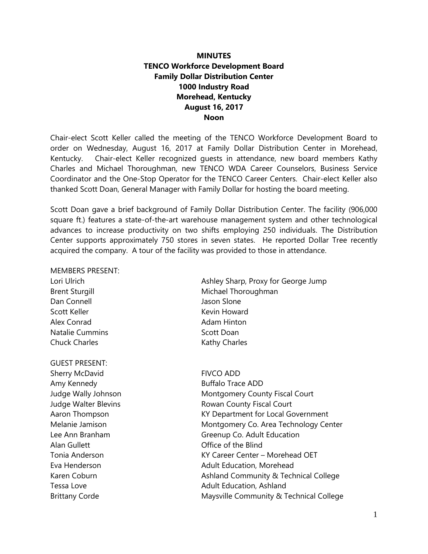# **MINUTES TENCO Workforce Development Board Family Dollar Distribution Center 1000 Industry Road Morehead, Kentucky August 16, 2017 Noon**

Chair-elect Scott Keller called the meeting of the TENCO Workforce Development Board to order on Wednesday, August 16, 2017 at Family Dollar Distribution Center in Morehead, Kentucky. Chair-elect Keller recognized guests in attendance, new board members Kathy Charles and Michael Thoroughman, new TENCO WDA Career Counselors, Business Service Coordinator and the One-Stop Operator for the TENCO Career Centers. Chair-elect Keller also thanked Scott Doan, General Manager with Family Dollar for hosting the board meeting.

Scott Doan gave a brief background of Family Dollar Distribution Center. The facility (906,000 square ft.) features a state-of-the-art warehouse management system and other technological advances to increase productivity on two shifts employing 250 individuals. The Distribution Center supports approximately 750 stores in seven states. He reported Dollar Tree recently acquired the company. A tour of the facility was provided to those in attendance.

MEMBERS PRESENT: Dan Connell **Dan Connell** Jason Slone Scott Keller **Keyser Keyser Keyser Keyser Keyser** Alex Conrad **Adam Hinton** Natalie Cummins Scott Doan Chuck Charles **Kathy Charles** Kathy Charles

GUEST PRESENT: Sherry McDavid FIVCO ADD Amy Kennedy **Buffalo Trace ADD** Alan Gullett Office of the Blind

Lori Ulrich **Ashley Sharp, Proxy for George Jump** Brent Sturgill **Michael Thoroughman** 

Judge Wally Johnson Montgomery County Fiscal Court Judge Walter Blevins **Rowan County Fiscal Court** Aaron Thompson KY Department for Local Government Melanie Jamison Montgomery Co. Area Technology Center Lee Ann Branham Greenup Co. Adult Education Tonia Anderson KY Career Center – Morehead OET Eva Henderson **Adult Education**, Morehead Karen Coburn **Ashland Community & Technical College** Tessa Love **Adult Education**, Ashland Brittany Corde **Maysville Community & Technical College**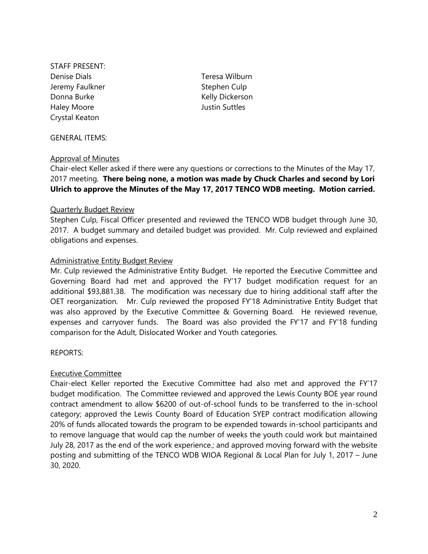STAFF PRESENT: Denise Dials Teresa Wilburn Jeremy Faulkner Stephen Culp Donna Burke Kelly Dickerson Haley Moore **Access 19** Justin Suttles Crystal Keaton

### GENERAL ITEMS:

#### Approval of Minutes

Chair-elect Keller asked if there were any questions or corrections to the Minutes of the May 17, 2017 meeting. **There being none, a motion was made by Chuck Charles and second by Lori Ulrich to approve the Minutes of the May 17, 2017 TENCO WDB meeting. Motion carried.**

#### Quarterly Budget Review

Stephen Culp, Fiscal Officer presented and reviewed the TENCO WDB budget through June 30, 2017. A budget summary and detailed budget was provided. Mr. Culp reviewed and explained obligations and expenses.

### Administrative Entity Budget Review

Mr. Culp reviewed the Administrative Entity Budget. He reported the Executive Committee and Governing Board had met and approved the FY'17 budget modification request for an additional \$93,881.38. The modification was necessary due to hiring additional staff after the OET reorganization. Mr. Culp reviewed the proposed FY'18 Administrative Entity Budget that was also approved by the Executive Committee & Governing Board. He reviewed revenue, expenses and carryover funds. The Board was also provided the FY'17 and FY'18 funding comparison for the Adult, Dislocated Worker and Youth categories.

### REPORTS:

### Executive Committee

Chair-elect Keller reported the Executive Committee had also met and approved the FY'17 budget modification. The Committee reviewed and approved the Lewis County BOE year round contract amendment to allow \$6200 of out-of-school funds to be transferred to the in-school category; approved the Lewis County Board of Education SYEP contract modification allowing 20% of funds allocated towards the program to be expended towards in-school participants and to remove language that would cap the number of weeks the youth could work but maintained July 28, 2017 as the end of the work experience.; and approved moving forward with the website posting and submitting of the TENCO WDB WIOA Regional & Local Plan for July 1, 2017 – June 30, 2020.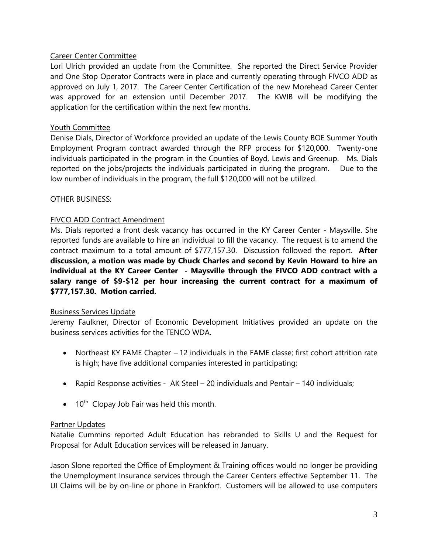### Career Center Committee

Lori Ulrich provided an update from the Committee. She reported the Direct Service Provider and One Stop Operator Contracts were in place and currently operating through FIVCO ADD as approved on July 1, 2017. The Career Center Certification of the new Morehead Career Center was approved for an extension until December 2017. The KWIB will be modifying the application for the certification within the next few months.

### Youth Committee

Denise Dials, Director of Workforce provided an update of the Lewis County BOE Summer Youth Employment Program contract awarded through the RFP process for \$120,000. Twenty-one individuals participated in the program in the Counties of Boyd, Lewis and Greenup. Ms. Dials reported on the jobs/projects the individuals participated in during the program. Due to the low number of individuals in the program, the full \$120,000 will not be utilized.

### OTHER BUSINESS:

### FIVCO ADD Contract Amendment

Ms. Dials reported a front desk vacancy has occurred in the KY Career Center - Maysville. She reported funds are available to hire an individual to fill the vacancy. The request is to amend the contract maximum to a total amount of \$777,157.30. Discussion followed the report. **After discussion, a motion was made by Chuck Charles and second by Kevin Howard to hire an individual at the KY Career Center - Maysville through the FIVCO ADD contract with a salary range of \$9-\$12 per hour increasing the current contract for a maximum of \$777,157.30. Motion carried.**

### Business Services Update

Jeremy Faulkner, Director of Economic Development Initiatives provided an update on the business services activities for the TENCO WDA.

- Northeast KY FAME Chapter 12 individuals in the FAME classe; first cohort attrition rate is high; have five additional companies interested in participating;
- Rapid Response activities AK Steel 20 individuals and Pentair 140 individuals;
- $\bullet$  10<sup>th</sup> Clopay Job Fair was held this month.

# Partner Updates

Natalie Cummins reported Adult Education has rebranded to Skills U and the Request for Proposal for Adult Education services will be released in January.

Jason Slone reported the Office of Employment & Training offices would no longer be providing the Unemployment Insurance services through the Career Centers effective September 11. The UI Claims will be by on-line or phone in Frankfort. Customers will be allowed to use computers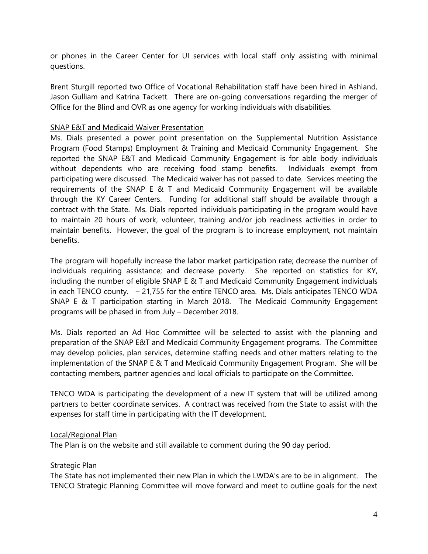or phones in the Career Center for UI services with local staff only assisting with minimal questions.

Brent Sturgill reported two Office of Vocational Rehabilitation staff have been hired in Ashland, Jason Gulliam and Katrina Tackett. There are on-going conversations regarding the merger of Office for the Blind and OVR as one agency for working individuals with disabilities.

### SNAP E&T and Medicaid Waiver Presentation

Ms. Dials presented a power point presentation on the Supplemental Nutrition Assistance Program (Food Stamps) Employment & Training and Medicaid Community Engagement. She reported the SNAP E&T and Medicaid Community Engagement is for able body individuals without dependents who are receiving food stamp benefits. Individuals exempt from participating were discussed. The Medicaid waiver has not passed to date. Services meeting the requirements of the SNAP E & T and Medicaid Community Engagement will be available through the KY Career Centers. Funding for additional staff should be available through a contract with the State. Ms. Dials reported individuals participating in the program would have to maintain 20 hours of work, volunteer, training and/or job readiness activities in order to maintain benefits. However, the goal of the program is to increase employment, not maintain benefits.

The program will hopefully increase the labor market participation rate; decrease the number of individuals requiring assistance; and decrease poverty. She reported on statistics for KY, including the number of eligible SNAP E & T and Medicaid Community Engagement individuals in each TENCO county.  $-21,755$  for the entire TENCO area. Ms. Dials anticipates TENCO WDA SNAP E & T participation starting in March 2018. The Medicaid Community Engagement programs will be phased in from July – December 2018.

Ms. Dials reported an Ad Hoc Committee will be selected to assist with the planning and preparation of the SNAP E&T and Medicaid Community Engagement programs. The Committee may develop policies, plan services, determine staffing needs and other matters relating to the implementation of the SNAP E & T and Medicaid Community Engagement Program. She will be contacting members, partner agencies and local officials to participate on the Committee.

TENCO WDA is participating the development of a new IT system that will be utilized among partners to better coordinate services. A contract was received from the State to assist with the expenses for staff time in participating with the IT development.

### Local/Regional Plan

The Plan is on the website and still available to comment during the 90 day period.

# Strategic Plan

The State has not implemented their new Plan in which the LWDA's are to be in alignment. The TENCO Strategic Planning Committee will move forward and meet to outline goals for the next